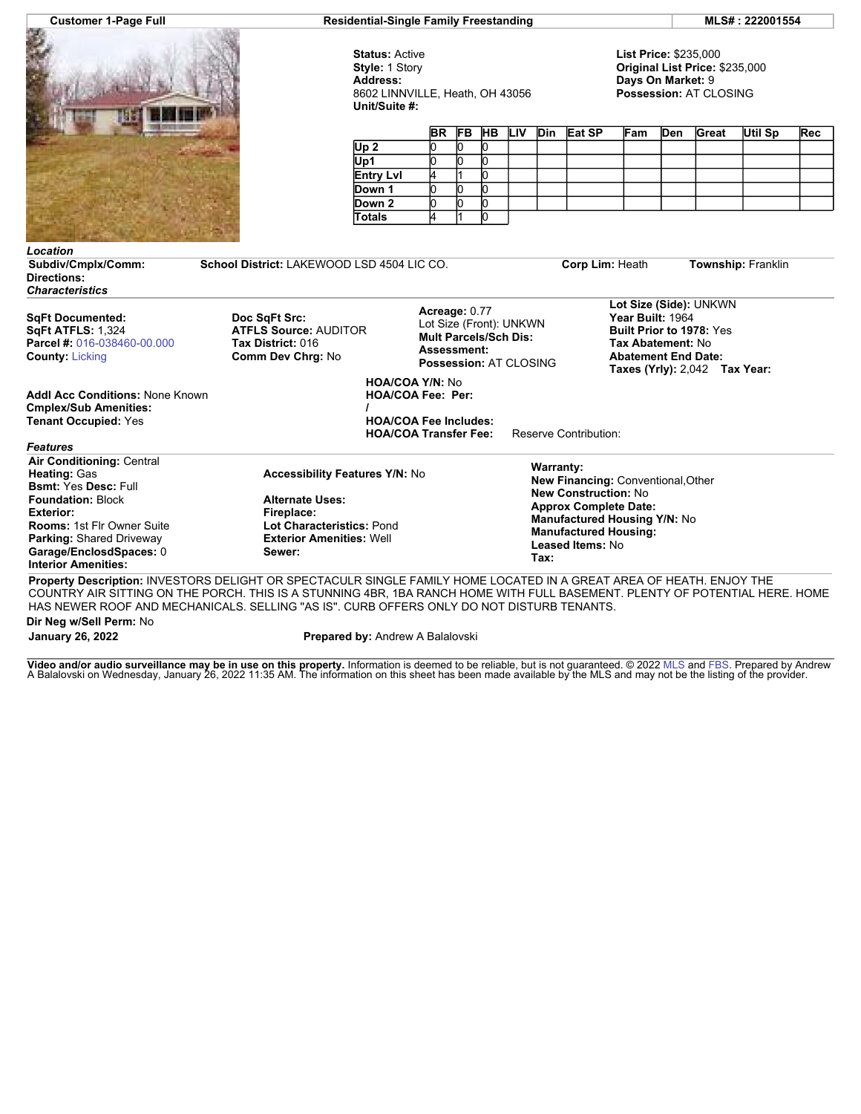

**Customer 1-Page Full Residential-Single Family Freestanding MLS# : 222001554**

**Status:** Active **Style:** 1 Story **Address:** 8602 LINNVILLE, Heath, OH 43056 **Unit/Suite #:**

**List Price:** \$235,000 **Original List Price:** \$235,000 **Days On Market:** 9 **Possession:** AT CLOSING

|                  |  |  |  |  | BR FB HB LIV Din Eat SP | <b>Fam</b> | Den | Great | Util Sp | Rec |
|------------------|--|--|--|--|-------------------------|------------|-----|-------|---------|-----|
| Up <sub>2</sub>  |  |  |  |  |                         |            |     |       |         |     |
| Up1              |  |  |  |  |                         |            |     |       |         |     |
| <b>Entry Lvl</b> |  |  |  |  |                         |            |     |       |         |     |
| Down 1           |  |  |  |  |                         |            |     |       |         |     |
| Down 2           |  |  |  |  |                         |            |     |       |         |     |
| <b>Totals</b>    |  |  |  |  |                         |            |     |       |         |     |

## *Location* **Subdiv/Cmplx/Comm: School District:** LAKEWOOD LSD 4504 LIC CO. **Corp Lim:** Heath **Township:** Franklin **Directions:**

*Characteristics*

**SqFt Documented: SqFt ATFLS:** 1,324 **Parcel #:** [016-038460-00.000](https://www.flexmls.com/cgi-bin/mainmenu.cgi?cmd=srv+common/thirdparty/c3pi/populate.html&app=7d0939ae88fc42f8917cb9cd8bc644fc&listing=20220118220619911015000000&type=detail) **County:** [Licking](http://www.columbusmls.net/tempoforward/forward.php?&county=Licking&parcel=016-038460-00.000)

**Addl Acc Conditions:** None Known **Cmplex/Sub Amenities: Tenant Occupied:** Yes

**Doc SqFt Src: ATFLS Source:** AUDITOR **Tax District:** 016 **Comm Dev Chrg:** No

Lot Size (Front): UNKWN **Mult Parcels/Sch Dis: Assessment: Possession:** AT CLOSING

**Acreage:** 0.77

**HOA/COA Y/N:** No **HOA/COA Fee: Per: /**

**HOA/COA Fee Includes: HOA/COA Transfer Fee:** Reserve Contribution:

**Lot Size (Side):** UNKWN **Year Built:** 1964 **Built Prior to 1978:** Yes **Tax Abatement:** No **Abatement End Date: Taxes (Yrly):** 2,042 **Tax Year:**

*Features* **Air Conditioning:** Central

**Heating:** Gas **Bsmt:** Yes **Desc:** Full **Foundation:** Block **Exterior: Rooms:** 1st Flr Owner Suite **Parking:** Shared Driveway **Garage/EnclosdSpaces:** 0 **Interior Amenities:**

**Accessibility Features Y/N:** No **Alternate Uses: Fireplace: Lot Characteristics:** Pond **Exterior Amenities:** Well **Sewer:**

**Warranty: New Financing:** Conventional,Other **New Construction:** No **Approx Complete Date: Manufactured Housing Y/N:** No **Manufactured Housing: Leased Items:** No **Tax:**

**Property Description:** INVESTORS DELIGHT OR SPECTACULR SINGLE FAMILY HOME LOCATED IN A GREAT AREA OF HEATH. ENJOY THE COUNTRY AIR SITTING ON THE PORCH. THIS IS A STUNNING 4BR, 1BA RANCH HOME WITH FULL BASEMENT. PLENTY OF POTENTIAL HERE. HOME HAS NEWER ROOF AND MECHANICALS. SELLING ''AS IS''. CURB OFFERS ONLY DO NOT DISTURB TENANTS.

**Dir Neg w/Sell Perm:** No

**January 26, 2022 Prepared by:** Andrew A Balalovski

**Video and/or audio surveillance may be in use on this property.** Information is deemed to be reliable, but is not guaranteed. © 2022 [MLS](http://www.columbusrealtors.com/) and [FBS.](http://www.flexmls.com/copyright_notice.html?2) Prepared by Andrew<br>A Balalovski on Wednesday, January 26, 2022 11:35 AM. Th